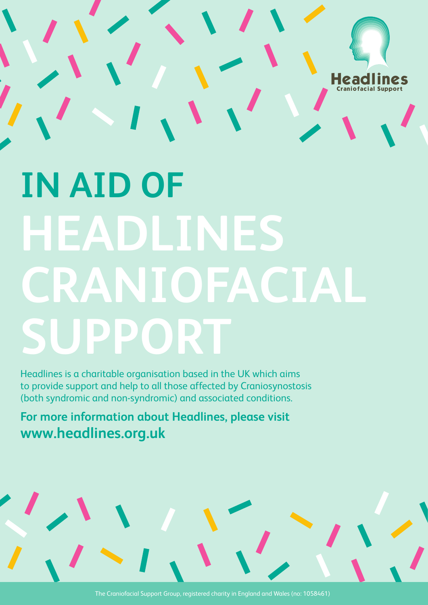

## **IN AID OF HEADLINES CRANIOFACIAL SUPPORT**

Headlines is a charitable organisation based in the UK which aims to provide support and help to all those affected by Craniosynostosis (both syndromic and non-syndromic) and associated conditions.

**For more information about Headlines, please visit www.headlines.org.uk**

The Craniofacial Support Group, registered charity in England and Wales (no: 1058461)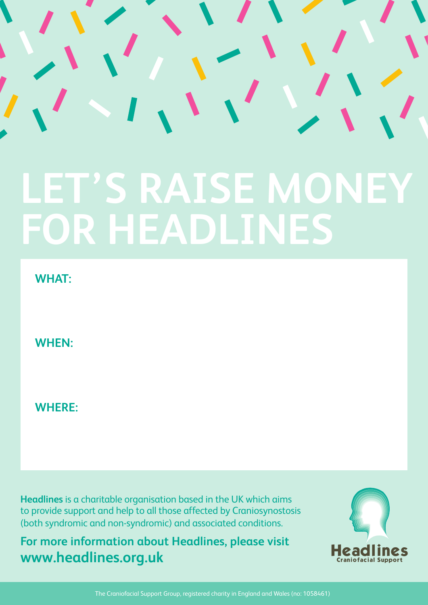## **LET'S RAISE MONEY FOR HEADLINES**

**WHAT:**

**WHEN:**

**WHERE:**

**Headlines** is a charitable organisation based in the UK which aims to provide support and help to all those affected by Craniosynostosis (both syndromic and non-syndromic) and associated conditions.

**For more information about Headlines, please visit www.headlines.org.uk**



The Craniofacial Support Group, registered charity in England and Wales (no: 1058461)